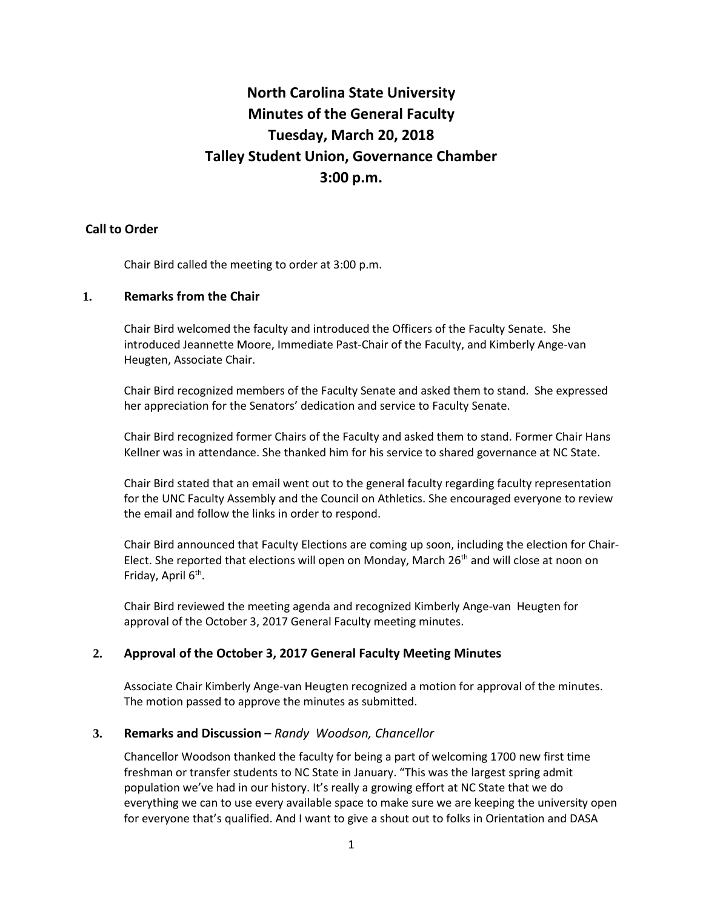# **North Carolina State University Minutes of the General Faculty Tuesday, March 20, 2018 Talley Student Union, Governance Chamber 3:00 p.m.**

# **Call to Order**

Chair Bird called the meeting to order at 3:00 p.m.

# **1. Remarks from the Chair**

Chair Bird welcomed the faculty and introduced the Officers of the Faculty Senate. She introduced Jeannette Moore, Immediate Past-Chair of the Faculty, and Kimberly Ange-van Heugten, Associate Chair.

Chair Bird recognized members of the Faculty Senate and asked them to stand. She expressed her appreciation for the Senators' dedication and service to Faculty Senate.

Chair Bird recognized former Chairs of the Faculty and asked them to stand. Former Chair Hans Kellner was in attendance. She thanked him for his service to shared governance at NC State.

Chair Bird stated that an email went out to the general faculty regarding faculty representation for the UNC Faculty Assembly and the Council on Athletics. She encouraged everyone to review the email and follow the links in order to respond.

Chair Bird announced that Faculty Elections are coming up soon, including the election for Chair-Elect. She reported that elections will open on Monday, March  $26<sup>th</sup>$  and will close at noon on Friday, April 6<sup>th</sup>.

Chair Bird reviewed the meeting agenda and recognized Kimberly Ange-van Heugten for approval of the October 3, 2017 General Faculty meeting minutes.

# **2. Approval of the October 3, 2017 General Faculty Meeting Minutes**

Associate Chair Kimberly Ange-van Heugten recognized a motion for approval of the minutes. The motion passed to approve the minutes as submitted.

# **3. Remarks and Discussion** – *Randy Woodson, Chancellor*

Chancellor Woodson thanked the faculty for being a part of welcoming 1700 new first time freshman or transfer students to NC State in January. "This was the largest spring admit population we've had in our history. It's really a growing effort at NC State that we do everything we can to use every available space to make sure we are keeping the university open for everyone that's qualified. And I want to give a shout out to folks in Orientation and DASA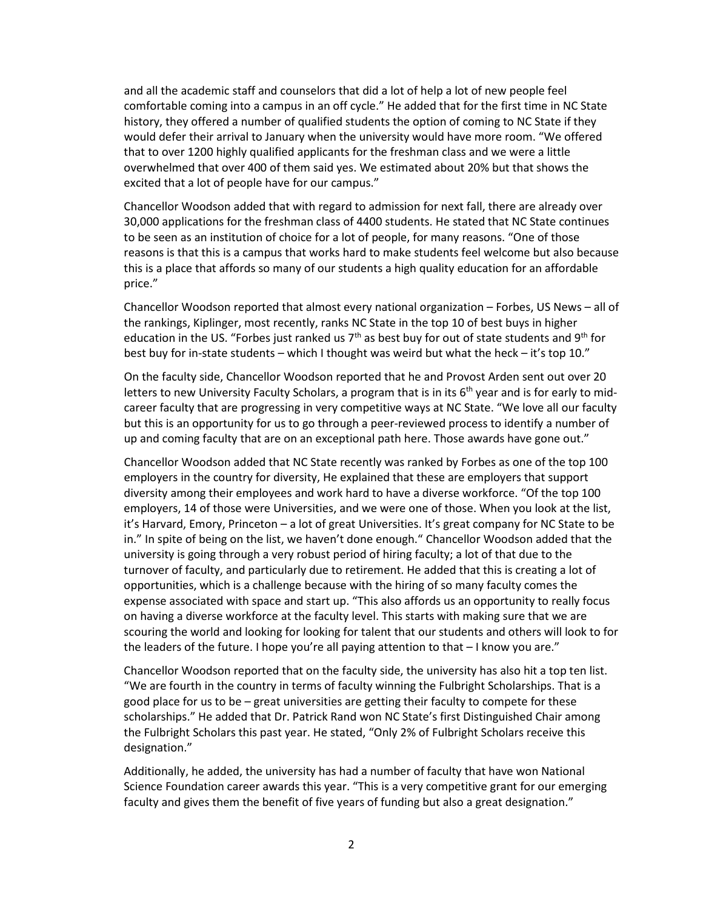and all the academic staff and counselors that did a lot of help a lot of new people feel comfortable coming into a campus in an off cycle." He added that for the first time in NC State history, they offered a number of qualified students the option of coming to NC State if they would defer their arrival to January when the university would have more room. "We offered that to over 1200 highly qualified applicants for the freshman class and we were a little overwhelmed that over 400 of them said yes. We estimated about 20% but that shows the excited that a lot of people have for our campus."

Chancellor Woodson added that with regard to admission for next fall, there are already over 30,000 applications for the freshman class of 4400 students. He stated that NC State continues to be seen as an institution of choice for a lot of people, for many reasons. "One of those reasons is that this is a campus that works hard to make students feel welcome but also because this is a place that affords so many of our students a high quality education for an affordable price."

Chancellor Woodson reported that almost every national organization – Forbes, US News – all of the rankings, Kiplinger, most recently, ranks NC State in the top 10 of best buys in higher education in the US. "Forbes just ranked us  $7<sup>th</sup>$  as best buy for out of state students and 9<sup>th</sup> for best buy for in-state students – which I thought was weird but what the heck – it's top 10."

On the faculty side, Chancellor Woodson reported that he and Provost Arden sent out over 20 letters to new University Faculty Scholars, a program that is in its  $6<sup>th</sup>$  year and is for early to midcareer faculty that are progressing in very competitive ways at NC State. "We love all our faculty but this is an opportunity for us to go through a peer-reviewed process to identify a number of up and coming faculty that are on an exceptional path here. Those awards have gone out."

Chancellor Woodson added that NC State recently was ranked by Forbes as one of the top 100 employers in the country for diversity, He explained that these are employers that support diversity among their employees and work hard to have a diverse workforce. "Of the top 100 employers, 14 of those were Universities, and we were one of those. When you look at the list, it's Harvard, Emory, Princeton – a lot of great Universities. It's great company for NC State to be in." In spite of being on the list, we haven't done enough." Chancellor Woodson added that the university is going through a very robust period of hiring faculty; a lot of that due to the turnover of faculty, and particularly due to retirement. He added that this is creating a lot of opportunities, which is a challenge because with the hiring of so many faculty comes the expense associated with space and start up. "This also affords us an opportunity to really focus on having a diverse workforce at the faculty level. This starts with making sure that we are scouring the world and looking for looking for talent that our students and others will look to for the leaders of the future. I hope you're all paying attention to that  $-1$  know you are."

Chancellor Woodson reported that on the faculty side, the university has also hit a top ten list. "We are fourth in the country in terms of faculty winning the Fulbright Scholarships. That is a good place for us to be – great universities are getting their faculty to compete for these scholarships." He added that Dr. Patrick Rand won NC State's first Distinguished Chair among the Fulbright Scholars this past year. He stated, "Only 2% of Fulbright Scholars receive this designation."

Additionally, he added, the university has had a number of faculty that have won National Science Foundation career awards this year. "This is a very competitive grant for our emerging faculty and gives them the benefit of five years of funding but also a great designation."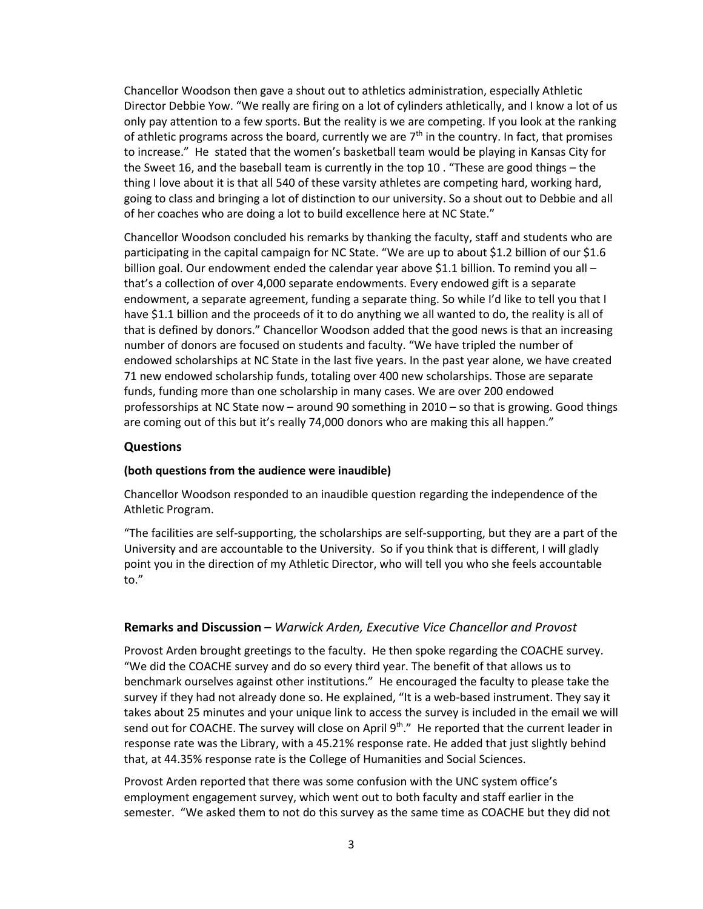Chancellor Woodson then gave a shout out to athletics administration, especially Athletic Director Debbie Yow. "We really are firing on a lot of cylinders athletically, and I know a lot of us only pay attention to a few sports. But the reality is we are competing. If you look at the ranking of athletic programs across the board, currently we are  $7<sup>th</sup>$  in the country. In fact, that promises to increase." He stated that the women's basketball team would be playing in Kansas City for the Sweet 16, and the baseball team is currently in the top 10 . "These are good things – the thing I love about it is that all 540 of these varsity athletes are competing hard, working hard, going to class and bringing a lot of distinction to our university. So a shout out to Debbie and all of her coaches who are doing a lot to build excellence here at NC State."

Chancellor Woodson concluded his remarks by thanking the faculty, staff and students who are participating in the capital campaign for NC State. "We are up to about \$1.2 billion of our \$1.6 billion goal. Our endowment ended the calendar year above \$1.1 billion. To remind you all that's a collection of over 4,000 separate endowments. Every endowed gift is a separate endowment, a separate agreement, funding a separate thing. So while I'd like to tell you that I have \$1.1 billion and the proceeds of it to do anything we all wanted to do, the reality is all of that is defined by donors." Chancellor Woodson added that the good news is that an increasing number of donors are focused on students and faculty. "We have tripled the number of endowed scholarships at NC State in the last five years. In the past year alone, we have created 71 new endowed scholarship funds, totaling over 400 new scholarships. Those are separate funds, funding more than one scholarship in many cases. We are over 200 endowed professorships at NC State now – around 90 something in 2010 – so that is growing. Good things are coming out of this but it's really 74,000 donors who are making this all happen."

# **Questions**

#### **(both questions from the audience were inaudible)**

Chancellor Woodson responded to an inaudible question regarding the independence of the Athletic Program.

"The facilities are self-supporting, the scholarships are self-supporting, but they are a part of the University and are accountable to the University. So if you think that is different, I will gladly point you in the direction of my Athletic Director, who will tell you who she feels accountable to."

#### **Remarks and Discussion** – *Warwick Arden, Executive Vice Chancellor and Provost*

Provost Arden brought greetings to the faculty. He then spoke regarding the COACHE survey. "We did the COACHE survey and do so every third year. The benefit of that allows us to benchmark ourselves against other institutions." He encouraged the faculty to please take the survey if they had not already done so. He explained, "It is a web-based instrument. They say it takes about 25 minutes and your unique link to access the survey is included in the email we will send out for COACHE. The survey will close on April 9<sup>th</sup>." He reported that the current leader in response rate was the Library, with a 45.21% response rate. He added that just slightly behind that, at 44.35% response rate is the College of Humanities and Social Sciences.

Provost Arden reported that there was some confusion with the UNC system office's employment engagement survey, which went out to both faculty and staff earlier in the semester. "We asked them to not do this survey as the same time as COACHE but they did not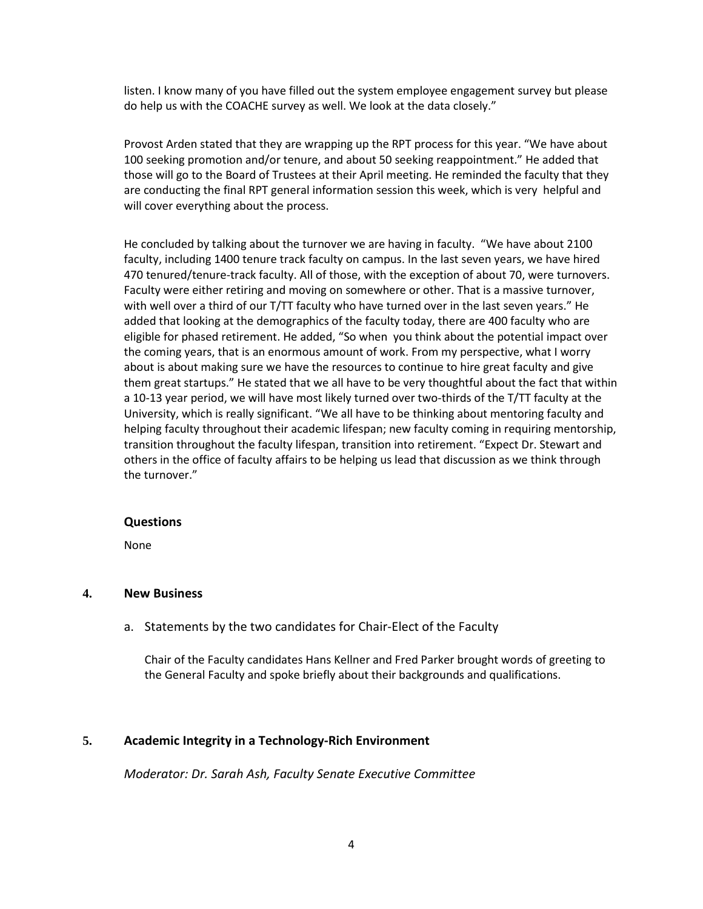listen. I know many of you have filled out the system employee engagement survey but please do help us with the COACHE survey as well. We look at the data closely."

Provost Arden stated that they are wrapping up the RPT process for this year. "We have about 100 seeking promotion and/or tenure, and about 50 seeking reappointment." He added that those will go to the Board of Trustees at their April meeting. He reminded the faculty that they are conducting the final RPT general information session this week, which is very helpful and will cover everything about the process.

He concluded by talking about the turnover we are having in faculty. "We have about 2100 faculty, including 1400 tenure track faculty on campus. In the last seven years, we have hired 470 tenured/tenure-track faculty. All of those, with the exception of about 70, were turnovers. Faculty were either retiring and moving on somewhere or other. That is a massive turnover, with well over a third of our T/TT faculty who have turned over in the last seven years." He added that looking at the demographics of the faculty today, there are 400 faculty who are eligible for phased retirement. He added, "So when you think about the potential impact over the coming years, that is an enormous amount of work. From my perspective, what I worry about is about making sure we have the resources to continue to hire great faculty and give them great startups." He stated that we all have to be very thoughtful about the fact that within a 10-13 year period, we will have most likely turned over two-thirds of the T/TT faculty at the University, which is really significant. "We all have to be thinking about mentoring faculty and helping faculty throughout their academic lifespan; new faculty coming in requiring mentorship, transition throughout the faculty lifespan, transition into retirement. "Expect Dr. Stewart and others in the office of faculty affairs to be helping us lead that discussion as we think through the turnover."

# **Questions**

None

# **4. New Business**

a. Statements by the two candidates for Chair-Elect of the Faculty

Chair of the Faculty candidates Hans Kellner and Fred Parker brought words of greeting to the General Faculty and spoke briefly about their backgrounds and qualifications.

# **5. Academic Integrity in a Technology-Rich Environment**

*Moderator: Dr. Sarah Ash, Faculty Senate Executive Committee*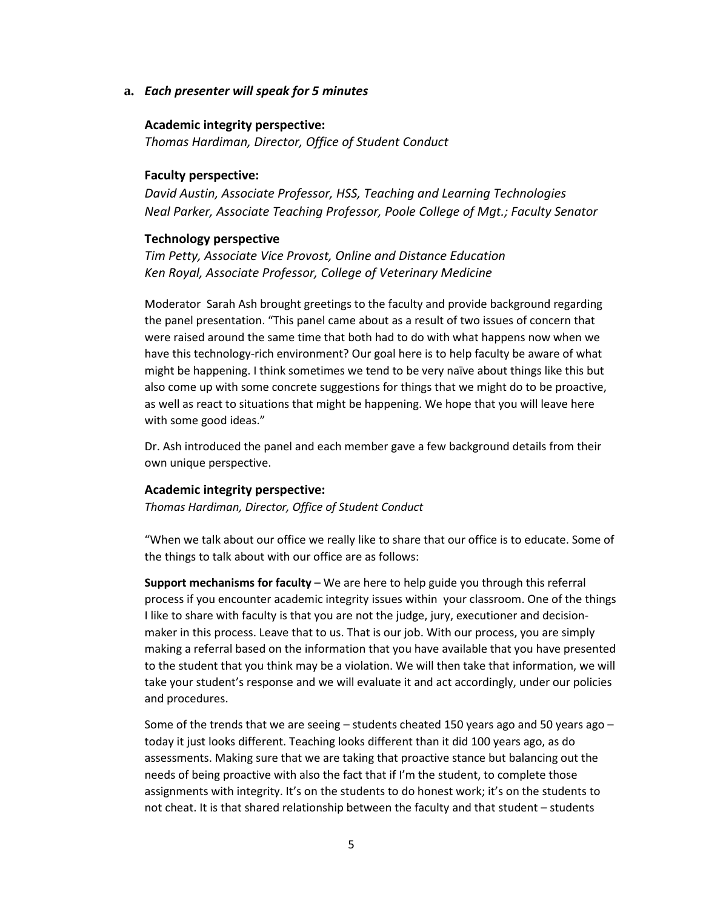**a.** *Each presenter will speak for 5 minutes* 

#### **Academic integrity perspective:**

*Thomas Hardiman, Director, Office of Student Conduct*

#### **Faculty perspective:**

*David Austin, Associate Professor, HSS, Teaching and Learning Technologies Neal Parker, Associate Teaching Professor, Poole College of Mgt.; Faculty Senator* 

#### **Technology perspective**

*Tim Petty, Associate Vice Provost, Online and Distance Education Ken Royal, Associate Professor, College of Veterinary Medicine* 

Moderator Sarah Ash brought greetings to the faculty and provide background regarding the panel presentation. "This panel came about as a result of two issues of concern that were raised around the same time that both had to do with what happens now when we have this technology-rich environment? Our goal here is to help faculty be aware of what might be happening. I think sometimes we tend to be very naïve about things like this but also come up with some concrete suggestions for things that we might do to be proactive, as well as react to situations that might be happening. We hope that you will leave here with some good ideas."

Dr. Ash introduced the panel and each member gave a few background details from their own unique perspective.

#### **Academic integrity perspective:**

*Thomas Hardiman, Director, Office of Student Conduct*

"When we talk about our office we really like to share that our office is to educate. Some of the things to talk about with our office are as follows:

**Support mechanisms for faculty** – We are here to help guide you through this referral process if you encounter academic integrity issues within your classroom. One of the things I like to share with faculty is that you are not the judge, jury, executioner and decisionmaker in this process. Leave that to us. That is our job. With our process, you are simply making a referral based on the information that you have available that you have presented to the student that you think may be a violation. We will then take that information, we will take your student's response and we will evaluate it and act accordingly, under our policies and procedures.

Some of the trends that we are seeing – students cheated 150 years ago and 50 years ago – today it just looks different. Teaching looks different than it did 100 years ago, as do assessments. Making sure that we are taking that proactive stance but balancing out the needs of being proactive with also the fact that if I'm the student, to complete those assignments with integrity. It's on the students to do honest work; it's on the students to not cheat. It is that shared relationship between the faculty and that student – students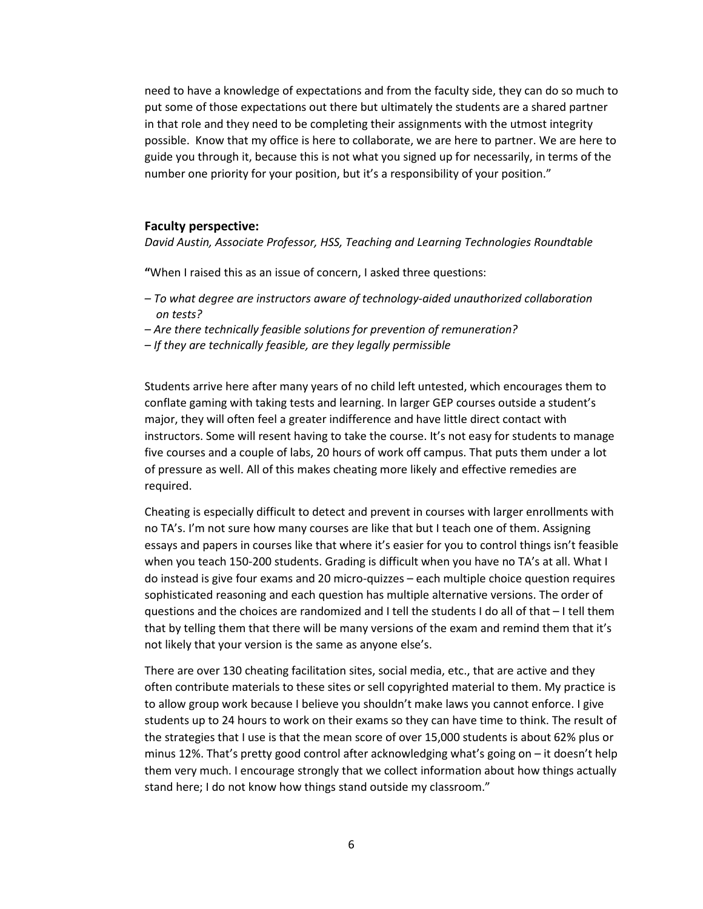need to have a knowledge of expectations and from the faculty side, they can do so much to put some of those expectations out there but ultimately the students are a shared partner in that role and they need to be completing their assignments with the utmost integrity possible. Know that my office is here to collaborate, we are here to partner. We are here to guide you through it, because this is not what you signed up for necessarily, in terms of the number one priority for your position, but it's a responsibility of your position."

#### **Faculty perspective:**

*David Austin, Associate Professor, HSS, Teaching and Learning Technologies Roundtable*

**"**When I raised this as an issue of concern, I asked three questions:

- *– To what degree are instructors aware of technology-aided unauthorized collaboration on tests?*
- *– Are there technically feasible solutions for prevention of remuneration?*
- *– If they are technically feasible, are they legally permissible*

Students arrive here after many years of no child left untested, which encourages them to conflate gaming with taking tests and learning. In larger GEP courses outside a student's major, they will often feel a greater indifference and have little direct contact with instructors. Some will resent having to take the course. It's not easy for students to manage five courses and a couple of labs, 20 hours of work off campus. That puts them under a lot of pressure as well. All of this makes cheating more likely and effective remedies are required.

Cheating is especially difficult to detect and prevent in courses with larger enrollments with no TA's. I'm not sure how many courses are like that but I teach one of them. Assigning essays and papers in courses like that where it's easier for you to control things isn't feasible when you teach 150-200 students. Grading is difficult when you have no TA's at all. What I do instead is give four exams and 20 micro-quizzes – each multiple choice question requires sophisticated reasoning and each question has multiple alternative versions. The order of questions and the choices are randomized and I tell the students I do all of that – I tell them that by telling them that there will be many versions of the exam and remind them that it's not likely that your version is the same as anyone else's.

There are over 130 cheating facilitation sites, social media, etc., that are active and they often contribute materials to these sites or sell copyrighted material to them. My practice is to allow group work because I believe you shouldn't make laws you cannot enforce. I give students up to 24 hours to work on their exams so they can have time to think. The result of the strategies that I use is that the mean score of over 15,000 students is about 62% plus or minus 12%. That's pretty good control after acknowledging what's going on – it doesn't help them very much. I encourage strongly that we collect information about how things actually stand here; I do not know how things stand outside my classroom."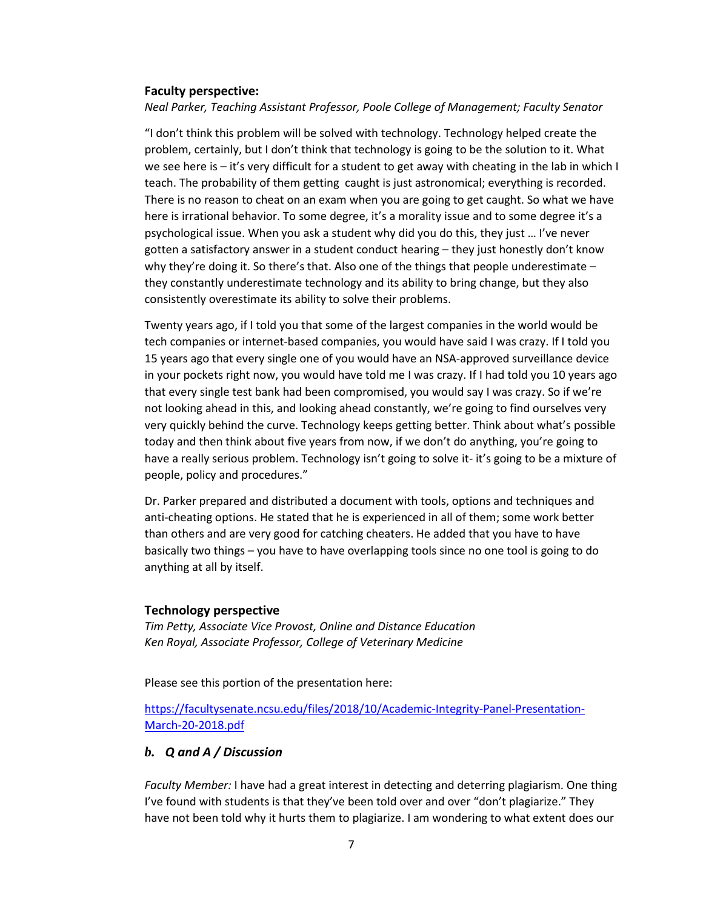#### **Faculty perspective:**

*Neal Parker, Teaching Assistant Professor, Poole College of Management; Faculty Senator* 

"I don't think this problem will be solved with technology. Technology helped create the problem, certainly, but I don't think that technology is going to be the solution to it. What we see here is – it's very difficult for a student to get away with cheating in the lab in which I teach. The probability of them getting caught is just astronomical; everything is recorded. There is no reason to cheat on an exam when you are going to get caught. So what we have here is irrational behavior. To some degree, it's a morality issue and to some degree it's a psychological issue. When you ask a student why did you do this, they just … I've never gotten a satisfactory answer in a student conduct hearing – they just honestly don't know why they're doing it. So there's that. Also one of the things that people underestimate – they constantly underestimate technology and its ability to bring change, but they also consistently overestimate its ability to solve their problems.

Twenty years ago, if I told you that some of the largest companies in the world would be tech companies or internet-based companies, you would have said I was crazy. If I told you 15 years ago that every single one of you would have an NSA-approved surveillance device in your pockets right now, you would have told me I was crazy. If I had told you 10 years ago that every single test bank had been compromised, you would say I was crazy. So if we're not looking ahead in this, and looking ahead constantly, we're going to find ourselves very very quickly behind the curve. Technology keeps getting better. Think about what's possible today and then think about five years from now, if we don't do anything, you're going to have a really serious problem. Technology isn't going to solve it- it's going to be a mixture of people, policy and procedures."

Dr. Parker prepared and distributed a document with tools, options and techniques and anti-cheating options. He stated that he is experienced in all of them; some work better than others and are very good for catching cheaters. He added that you have to have basically two things – you have to have overlapping tools since no one tool is going to do anything at all by itself.

#### **Technology perspective**

*Tim Petty, Associate Vice Provost, Online and Distance Education Ken Royal, Associate Professor, College of Veterinary Medicine*

Please see this portion of the presentation here:

[https://facultysenate.ncsu.edu/files/2018/10/Academic-Integrity-Panel-Presentation-](https://facultysenate.ncsu.edu/files/2018/10/Academic-Integrity-Panel-Presentation-March-20-2018.pdf)[March-20-2018.pdf](https://facultysenate.ncsu.edu/files/2018/10/Academic-Integrity-Panel-Presentation-March-20-2018.pdf)

# *b. Q and A / Discussion*

*Faculty Member:* I have had a great interest in detecting and deterring plagiarism. One thing I've found with students is that they've been told over and over "don't plagiarize." They have not been told why it hurts them to plagiarize. I am wondering to what extent does our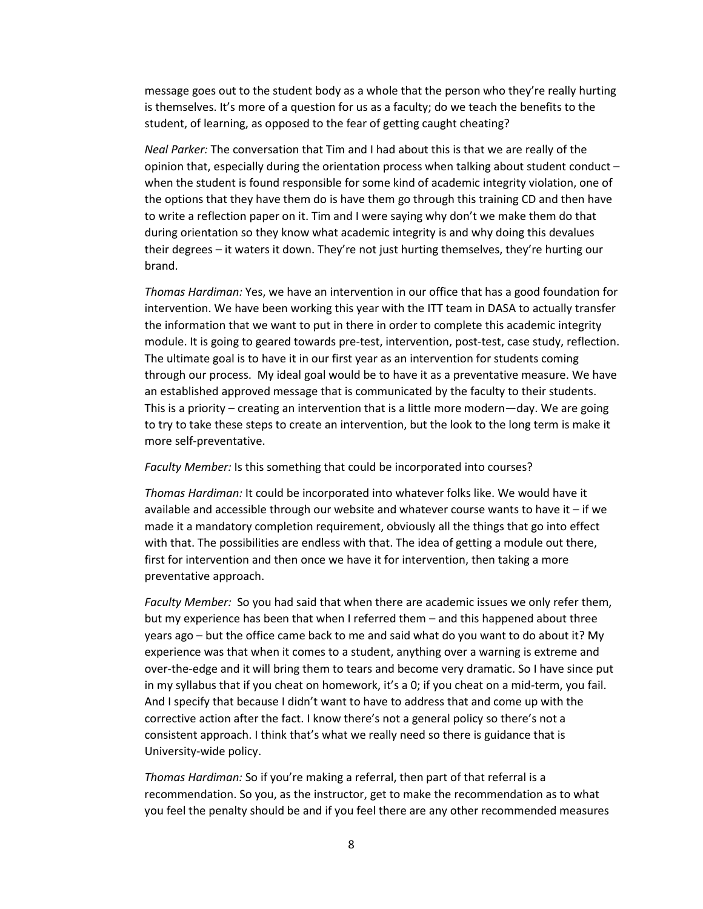message goes out to the student body as a whole that the person who they're really hurting is themselves. It's more of a question for us as a faculty; do we teach the benefits to the student, of learning, as opposed to the fear of getting caught cheating?

*Neal Parker:* The conversation that Tim and I had about this is that we are really of the opinion that, especially during the orientation process when talking about student conduct – when the student is found responsible for some kind of academic integrity violation, one of the options that they have them do is have them go through this training CD and then have to write a reflection paper on it. Tim and I were saying why don't we make them do that during orientation so they know what academic integrity is and why doing this devalues their degrees – it waters it down. They're not just hurting themselves, they're hurting our brand.

*Thomas Hardiman:* Yes, we have an intervention in our office that has a good foundation for intervention. We have been working this year with the ITT team in DASA to actually transfer the information that we want to put in there in order to complete this academic integrity module. It is going to geared towards pre-test, intervention, post-test, case study, reflection. The ultimate goal is to have it in our first year as an intervention for students coming through our process. My ideal goal would be to have it as a preventative measure. We have an established approved message that is communicated by the faculty to their students. This is a priority – creating an intervention that is a little more modern—day. We are going to try to take these steps to create an intervention, but the look to the long term is make it more self-preventative.

#### *Faculty Member:* Is this something that could be incorporated into courses?

*Thomas Hardiman:* It could be incorporated into whatever folks like. We would have it available and accessible through our website and whatever course wants to have it – if we made it a mandatory completion requirement, obviously all the things that go into effect with that. The possibilities are endless with that. The idea of getting a module out there, first for intervention and then once we have it for intervention, then taking a more preventative approach.

*Faculty Member:* So you had said that when there are academic issues we only refer them, but my experience has been that when I referred them – and this happened about three years ago – but the office came back to me and said what do you want to do about it? My experience was that when it comes to a student, anything over a warning is extreme and over-the-edge and it will bring them to tears and become very dramatic. So I have since put in my syllabus that if you cheat on homework, it's a 0; if you cheat on a mid-term, you fail. And I specify that because I didn't want to have to address that and come up with the corrective action after the fact. I know there's not a general policy so there's not a consistent approach. I think that's what we really need so there is guidance that is University-wide policy.

*Thomas Hardiman:* So if you're making a referral, then part of that referral is a recommendation. So you, as the instructor, get to make the recommendation as to what you feel the penalty should be and if you feel there are any other recommended measures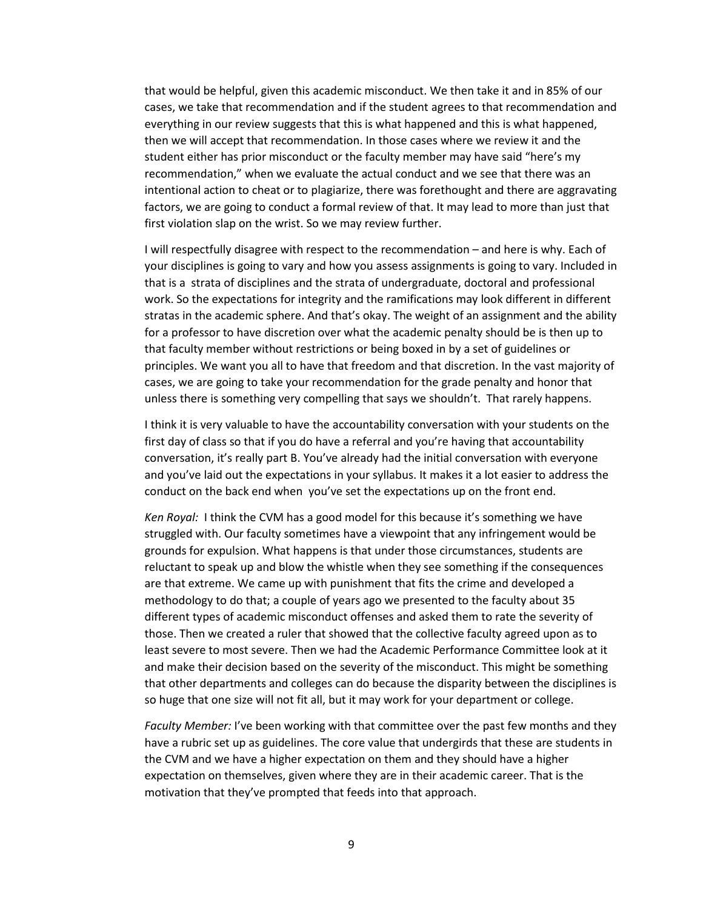that would be helpful, given this academic misconduct. We then take it and in 85% of our cases, we take that recommendation and if the student agrees to that recommendation and everything in our review suggests that this is what happened and this is what happened, then we will accept that recommendation. In those cases where we review it and the student either has prior misconduct or the faculty member may have said "here's my recommendation," when we evaluate the actual conduct and we see that there was an intentional action to cheat or to plagiarize, there was forethought and there are aggravating factors, we are going to conduct a formal review of that. It may lead to more than just that first violation slap on the wrist. So we may review further.

I will respectfully disagree with respect to the recommendation – and here is why. Each of your disciplines is going to vary and how you assess assignments is going to vary. Included in that is a strata of disciplines and the strata of undergraduate, doctoral and professional work. So the expectations for integrity and the ramifications may look different in different stratas in the academic sphere. And that's okay. The weight of an assignment and the ability for a professor to have discretion over what the academic penalty should be is then up to that faculty member without restrictions or being boxed in by a set of guidelines or principles. We want you all to have that freedom and that discretion. In the vast majority of cases, we are going to take your recommendation for the grade penalty and honor that unless there is something very compelling that says we shouldn't. That rarely happens.

I think it is very valuable to have the accountability conversation with your students on the first day of class so that if you do have a referral and you're having that accountability conversation, it's really part B. You've already had the initial conversation with everyone and you've laid out the expectations in your syllabus. It makes it a lot easier to address the conduct on the back end when you've set the expectations up on the front end.

*Ken Royal:* I think the CVM has a good model for this because it's something we have struggled with. Our faculty sometimes have a viewpoint that any infringement would be grounds for expulsion. What happens is that under those circumstances, students are reluctant to speak up and blow the whistle when they see something if the consequences are that extreme. We came up with punishment that fits the crime and developed a methodology to do that; a couple of years ago we presented to the faculty about 35 different types of academic misconduct offenses and asked them to rate the severity of those. Then we created a ruler that showed that the collective faculty agreed upon as to least severe to most severe. Then we had the Academic Performance Committee look at it and make their decision based on the severity of the misconduct. This might be something that other departments and colleges can do because the disparity between the disciplines is so huge that one size will not fit all, but it may work for your department or college.

*Faculty Member:* I've been working with that committee over the past few months and they have a rubric set up as guidelines. The core value that undergirds that these are students in the CVM and we have a higher expectation on them and they should have a higher expectation on themselves, given where they are in their academic career. That is the motivation that they've prompted that feeds into that approach.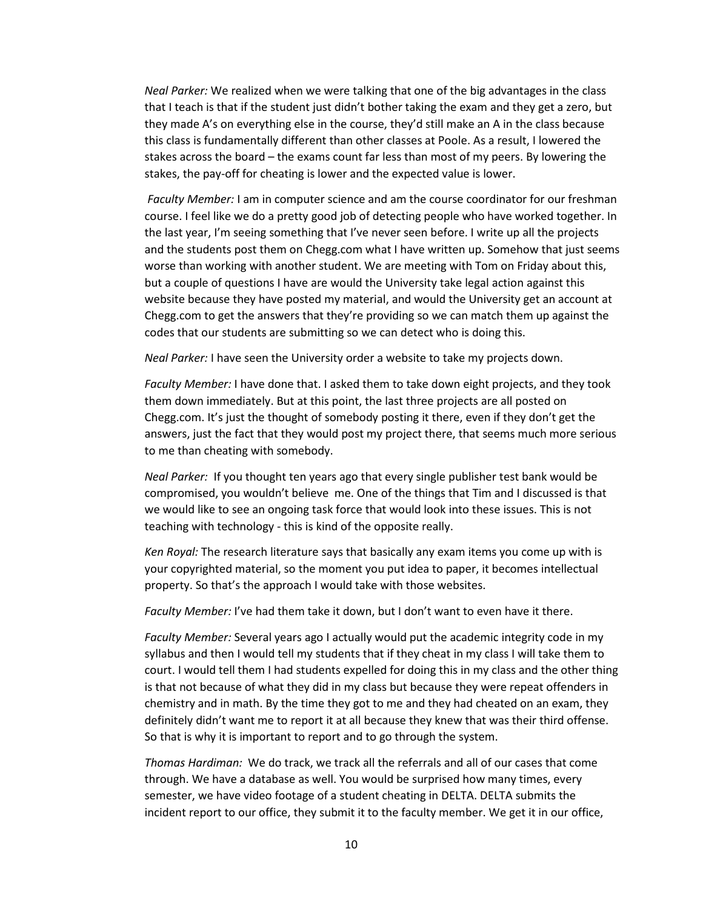*Neal Parker:* We realized when we were talking that one of the big advantages in the class that I teach is that if the student just didn't bother taking the exam and they get a zero, but they made A's on everything else in the course, they'd still make an A in the class because this class is fundamentally different than other classes at Poole. As a result, I lowered the stakes across the board – the exams count far less than most of my peers. By lowering the stakes, the pay-off for cheating is lower and the expected value is lower.

*Faculty Member:* I am in computer science and am the course coordinator for our freshman course. I feel like we do a pretty good job of detecting people who have worked together. In the last year, I'm seeing something that I've never seen before. I write up all the projects and the students post them on Chegg.com what I have written up. Somehow that just seems worse than working with another student. We are meeting with Tom on Friday about this, but a couple of questions I have are would the University take legal action against this website because they have posted my material, and would the University get an account at Chegg.com to get the answers that they're providing so we can match them up against the codes that our students are submitting so we can detect who is doing this.

*Neal Parker:* I have seen the University order a website to take my projects down.

*Faculty Member:* I have done that. I asked them to take down eight projects, and they took them down immediately. But at this point, the last three projects are all posted on Chegg.com. It's just the thought of somebody posting it there, even if they don't get the answers, just the fact that they would post my project there, that seems much more serious to me than cheating with somebody.

*Neal Parker:* If you thought ten years ago that every single publisher test bank would be compromised, you wouldn't believe me. One of the things that Tim and I discussed is that we would like to see an ongoing task force that would look into these issues. This is not teaching with technology - this is kind of the opposite really.

*Ken Royal:* The research literature says that basically any exam items you come up with is your copyrighted material, so the moment you put idea to paper, it becomes intellectual property. So that's the approach I would take with those websites.

*Faculty Member:* I've had them take it down, but I don't want to even have it there.

*Faculty Member:* Several years ago I actually would put the academic integrity code in my syllabus and then I would tell my students that if they cheat in my class I will take them to court. I would tell them I had students expelled for doing this in my class and the other thing is that not because of what they did in my class but because they were repeat offenders in chemistry and in math. By the time they got to me and they had cheated on an exam, they definitely didn't want me to report it at all because they knew that was their third offense. So that is why it is important to report and to go through the system.

*Thomas Hardiman:* We do track, we track all the referrals and all of our cases that come through. We have a database as well. You would be surprised how many times, every semester, we have video footage of a student cheating in DELTA. DELTA submits the incident report to our office, they submit it to the faculty member. We get it in our office,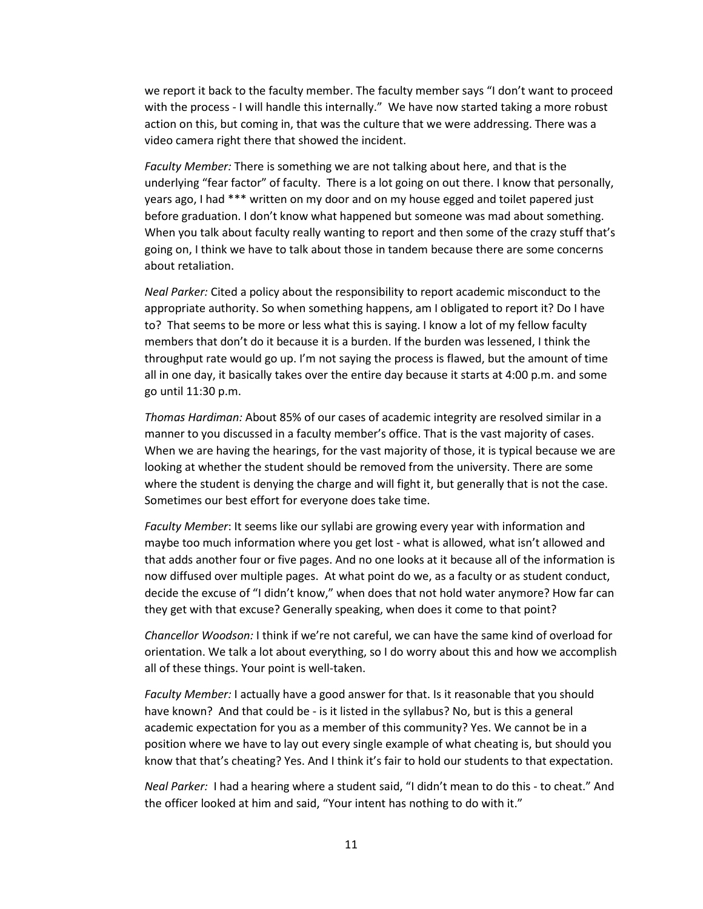we report it back to the faculty member. The faculty member says "I don't want to proceed with the process - I will handle this internally." We have now started taking a more robust action on this, but coming in, that was the culture that we were addressing. There was a video camera right there that showed the incident.

*Faculty Member:* There is something we are not talking about here, and that is the underlying "fear factor" of faculty. There is a lot going on out there. I know that personally, years ago, I had \*\*\* written on my door and on my house egged and toilet papered just before graduation. I don't know what happened but someone was mad about something. When you talk about faculty really wanting to report and then some of the crazy stuff that's going on, I think we have to talk about those in tandem because there are some concerns about retaliation.

*Neal Parker:* Cited a policy about the responsibility to report academic misconduct to the appropriate authority. So when something happens, am I obligated to report it? Do I have to? That seems to be more or less what this is saying. I know a lot of my fellow faculty members that don't do it because it is a burden. If the burden was lessened, I think the throughput rate would go up. I'm not saying the process is flawed, but the amount of time all in one day, it basically takes over the entire day because it starts at 4:00 p.m. and some go until 11:30 p.m.

*Thomas Hardiman:* About 85% of our cases of academic integrity are resolved similar in a manner to you discussed in a faculty member's office. That is the vast majority of cases. When we are having the hearings, for the vast majority of those, it is typical because we are looking at whether the student should be removed from the university. There are some where the student is denying the charge and will fight it, but generally that is not the case. Sometimes our best effort for everyone does take time.

*Faculty Member*: It seems like our syllabi are growing every year with information and maybe too much information where you get lost - what is allowed, what isn't allowed and that adds another four or five pages. And no one looks at it because all of the information is now diffused over multiple pages. At what point do we, as a faculty or as student conduct, decide the excuse of "I didn't know," when does that not hold water anymore? How far can they get with that excuse? Generally speaking, when does it come to that point?

*Chancellor Woodson:* I think if we're not careful, we can have the same kind of overload for orientation. We talk a lot about everything, so I do worry about this and how we accomplish all of these things. Your point is well-taken.

*Faculty Member:* I actually have a good answer for that. Is it reasonable that you should have known? And that could be - is it listed in the syllabus? No, but is this a general academic expectation for you as a member of this community? Yes. We cannot be in a position where we have to lay out every single example of what cheating is, but should you know that that's cheating? Yes. And I think it's fair to hold our students to that expectation.

*Neal Parker:* I had a hearing where a student said, "I didn't mean to do this - to cheat." And the officer looked at him and said, "Your intent has nothing to do with it."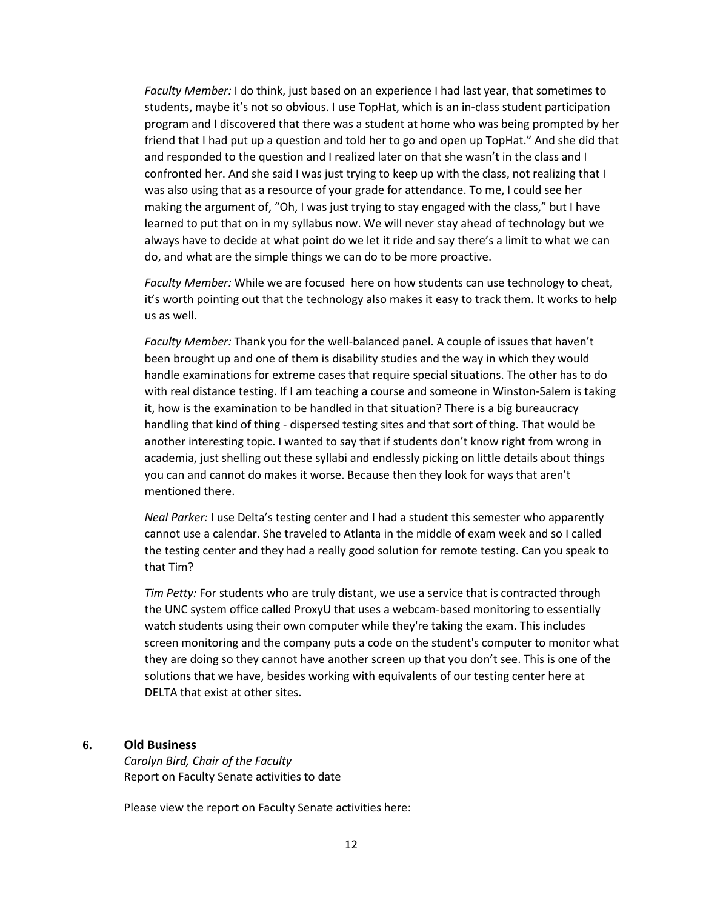*Faculty Member:* I do think, just based on an experience I had last year, that sometimes to students, maybe it's not so obvious. I use TopHat, which is an in-class student participation program and I discovered that there was a student at home who was being prompted by her friend that I had put up a question and told her to go and open up TopHat." And she did that and responded to the question and I realized later on that she wasn't in the class and I confronted her. And she said I was just trying to keep up with the class, not realizing that I was also using that as a resource of your grade for attendance. To me, I could see her making the argument of, "Oh, I was just trying to stay engaged with the class," but I have learned to put that on in my syllabus now. We will never stay ahead of technology but we always have to decide at what point do we let it ride and say there's a limit to what we can do, and what are the simple things we can do to be more proactive.

*Faculty Member:* While we are focused here on how students can use technology to cheat, it's worth pointing out that the technology also makes it easy to track them. It works to help us as well.

*Faculty Member:* Thank you for the well-balanced panel. A couple of issues that haven't been brought up and one of them is disability studies and the way in which they would handle examinations for extreme cases that require special situations. The other has to do with real distance testing. If I am teaching a course and someone in Winston-Salem is taking it, how is the examination to be handled in that situation? There is a big bureaucracy handling that kind of thing - dispersed testing sites and that sort of thing. That would be another interesting topic. I wanted to say that if students don't know right from wrong in academia, just shelling out these syllabi and endlessly picking on little details about things you can and cannot do makes it worse. Because then they look for ways that aren't mentioned there.

*Neal Parker:* I use Delta's testing center and I had a student this semester who apparently cannot use a calendar. She traveled to Atlanta in the middle of exam week and so I called the testing center and they had a really good solution for remote testing. Can you speak to that Tim?

*Tim Petty:* For students who are truly distant, we use a service that is contracted through the UNC system office called ProxyU that uses a webcam-based monitoring to essentially watch students using their own computer while they're taking the exam. This includes screen monitoring and the company puts a code on the student's computer to monitor what they are doing so they cannot have another screen up that you don't see. This is one of the solutions that we have, besides working with equivalents of our testing center here at DELTA that exist at other sites.

#### **6. Old Business**

*Carolyn Bird, Chair of the Faculty* Report on Faculty Senate activities to date

Please view the report on Faculty Senate activities here: